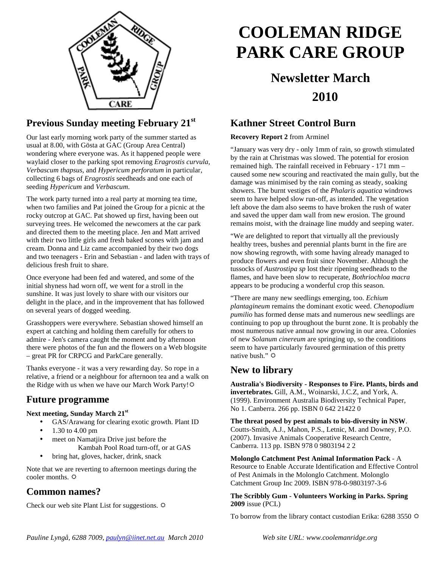

## **Previous Sunday meeting February 21st**

Our last early morning work party of the summer started as usual at 8.00, with Gösta at GAC (Group Area Central) wondering where everyone was. As it happened people were waylaid closer to the parking spot removing *Eragrostis curvula*, *Verbascum thapsus*, and *Hypericum perforatum* in particular, collecting 6 bags of *Eragrostis* seedheads and one each of seeding *Hypericum* and *Verbascum*.

The work party turned into a real party at morning tea time, when two families and Pat joined the Group for a picnic at the rocky outcrop at GAC. Pat showed up first, having been out surveying trees. He welcomed the newcomers at the car park and directed them to the meeting place. Jen and Matt arrived with their two little girls and fresh baked scones with jam and cream. Donna and Liz came accompanied by their two dogs and two teenagers - Erin and Sebastian - and laden with trays of delicious fresh fruit to share.

Once everyone had been fed and watered, and some of the initial shyness had worn off, we went for a stroll in the sunshine. It was just lovely to share with our visitors our delight in the place, and in the improvement that has followed on several years of dogged weeding.

Grasshoppers were everywhere. Sebastian showed himself an expert at catching and holding them carefully for others to admire - Jen's camera caught the moment and by afternoon there were photos of the fun and the flowers on a Web blogsite – great PR for CRPCG and ParkCare generally.

Thanks everyone - it was a very rewarding day. So rope in a relative, a friend or a neighbour for afternoon tea and a walk on the Ridge with us when we have our March Work Party!

#### **Future programme**

#### **Next meeting, Sunday March 21st**

• GAS/Arawang for clearing exotic growth. Plant ID

- 1.30 to 4.00 pm
- meet on Namatjira Drive just before the Kambah Pool Road turn-off, or at GAS
- bring hat, gloves, hacker, drink, snack

Note that we are reverting to afternoon meetings during the cooler months.

### **Common names?**

Check our web site Plant List for suggestions.  $\Phi$ 

# **COOLEMAN RIDGE PARK CARE GROUP**

## **Newsletter March 2010**

### **Kathner Street Control Burn**

#### **Recovery Report 2** from Arminel

"January was very dry - only 1mm of rain, so growth stimulated by the rain at Christmas was slowed. The potential for erosion remained high. The rainfall received in February - 171 mm – caused some new scouring and reactivated the main gully, but the damage was minimised by the rain coming as steady, soaking showers. The burnt vestiges of the *Phalaris aquatica* windrows seem to have helped slow run-off, as intended. The vegetation left above the dam also seems to have broken the rush of water and saved the upper dam wall from new erosion. The ground remains moist, with the drainage line muddy and seeping water.

"We are delighted to report that virtually all the previously healthy trees, bushes and perennial plants burnt in the fire are now showing regrowth, with some having already managed to produce flowers and even fruit since November. Although the tussocks of *Austrostipa sp* lost their ripening seedheads to the flames, and have been slow to recuperate, *Bothriochloa macra* appears to be producing a wonderful crop this season.

"There are many new seedlings emerging, too. *Echium plantagineum* remains the dominant exotic weed. *Chenopodium pumilio* has formed dense mats and numerous new seedlings are continuing to pop up throughout the burnt zone. It is probably the most numerous native annual now growing in our area. Colonies of new *Solanum cinereum* are springing up, so the conditions seem to have particularly favoured germination of this pretty native bush."

#### **New to library**

**Australia's Biodiversity - Responses to Fire. Plants, birds and invertebrates.** Gill, A.M., Woinarski, J.C.Z, and York, A. (1999). Environment Australia Biodiversity Technical Paper, No 1. Canberra. 266 pp. ISBN 0 642 21422 0

**The threat posed by pest animals to bio-diversity in NSW**. Coutts-Smith, A.J., Mahon, P.S., Letnic, M. and Downey, P.O. (2007). Invasive Animals Cooperative Research Centre, Canberra. 113 pp. ISBN 978 0 9803194 2 2

**Molonglo Catchment Pest Animal Information Pack** - A Resource to Enable Accurate Identification and Effective Control of Pest Animals in the Molonglo Catchment. Molonglo Catchment Group Inc 2009. ISBN 978-0-9803197-3-6

#### **The Scribbly Gum - Volunteers Working in Parks. Spring 2009** issue (PCL)

To borrow from the library contact custodian Erika: 6288 3550  $\ddot{\varphi}$